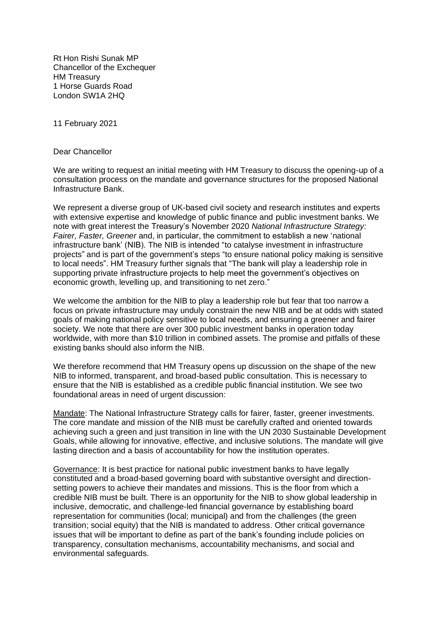Rt Hon Rishi Sunak MP Chancellor of the Exchequer HM Treasury 1 Horse Guards Road London SW1A 2HQ

11 February 2021

Dear Chancellor

We are writing to request an initial meeting with HM Treasury to discuss the opening-up of a consultation process on the mandate and governance structures for the proposed National Infrastructure Bank.

We represent a diverse group of UK-based civil society and research institutes and experts with extensive expertise and knowledge of public finance and public investment banks. We note with great interest the Treasury's November 2020 *National Infrastructure Strategy: Fairer, Faster, Greener* and, in particular, the commitment to establish a new 'national infrastructure bank' (NIB). The NIB is intended "to catalyse investment in infrastructure projects" and is part of the government's steps "to ensure national policy making is sensitive to local needs". HM Treasury further signals that "The bank will play a leadership role in supporting private infrastructure projects to help meet the government's objectives on economic growth, levelling up, and transitioning to net zero."

We welcome the ambition for the NIB to play a leadership role but fear that too narrow a focus on private infrastructure may unduly constrain the new NIB and be at odds with stated goals of making national policy sensitive to local needs, and ensuring a greener and fairer society. We note that there are over 300 public investment banks in operation today worldwide, with more than \$10 trillion in combined assets. The promise and pitfalls of these existing banks should also inform the NIB.

We therefore recommend that HM Treasury opens up discussion on the shape of the new NIB to informed, transparent, and broad-based public consultation. This is necessary to ensure that the NIB is established as a credible public financial institution. We see two foundational areas in need of urgent discussion:

Mandate: The National Infrastructure Strategy calls for fairer, faster, greener investments. The core mandate and mission of the NIB must be carefully crafted and oriented towards achieving such a green and just transition in line with the UN 2030 Sustainable Development Goals, while allowing for innovative, effective, and inclusive solutions. The mandate will give lasting direction and a basis of accountability for how the institution operates.

Governance: It is best practice for national public investment banks to have legally constituted and a broad-based governing board with substantive oversight and directionsetting powers to achieve their mandates and missions. This is the floor from which a credible NIB must be built. There is an opportunity for the NIB to show global leadership in inclusive, democratic, and challenge-led financial governance by establishing board representation for communities (local; municipal) and from the challenges (the green transition; social equity) that the NIB is mandated to address. Other critical governance issues that will be important to define as part of the bank's founding include policies on transparency, consultation mechanisms, accountability mechanisms, and social and environmental safeguards.